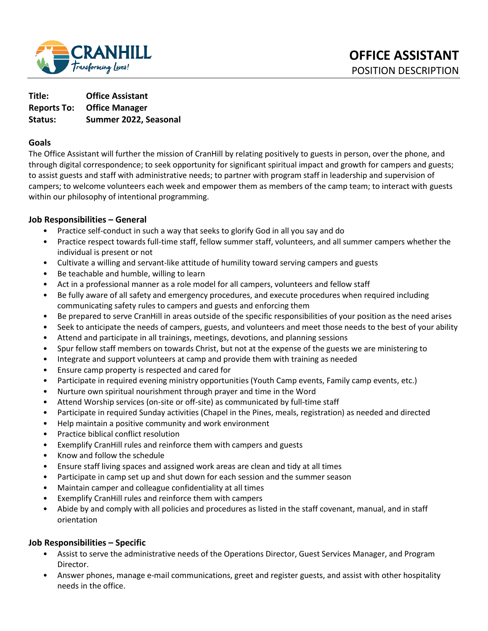

**Title: Office Assistant Reports To: Office Manager Status: Summer 2022, Seasonal** 

#### **Goals**

The Office Assistant will further the mission of CranHill by relating positively to guests in person, over the phone, and through digital correspondence; to seek opportunity for significant spiritual impact and growth for campers and guests; to assist guests and staff with administrative needs; to partner with program staff in leadership and supervision of campers; to welcome volunteers each week and empower them as members of the camp team; to interact with guests within our philosophy of intentional programming.

#### **Job Responsibilities – General**

- Practice self-conduct in such a way that seeks to glorify God in all you say and do
- Practice respect towards full-time staff, fellow summer staff, volunteers, and all summer campers whether the individual is present or not
- Cultivate a willing and servant-like attitude of humility toward serving campers and guests
- Be teachable and humble, willing to learn
- Act in a professional manner as a role model for all campers, volunteers and fellow staff
- Be fully aware of all safety and emergency procedures, and execute procedures when required including communicating safety rules to campers and guests and enforcing them
- Be prepared to serve CranHill in areas outside of the specific responsibilities of your position as the need arises
- Seek to anticipate the needs of campers, guests, and volunteers and meet those needs to the best of your ability
- Attend and participate in all trainings, meetings, devotions, and planning sessions
- Spur fellow staff members on towards Christ, but not at the expense of the guests we are ministering to
- Integrate and support volunteers at camp and provide them with training as needed
- Ensure camp property is respected and cared for
- Participate in required evening ministry opportunities (Youth Camp events, Family camp events, etc.)
- Nurture own spiritual nourishment through prayer and time in the Word
- Attend Worship services (on-site or off-site) as communicated by full-time staff
- Participate in required Sunday activities (Chapel in the Pines, meals, registration) as needed and directed
- Help maintain a positive community and work environment
- Practice biblical conflict resolution
- Exemplify CranHill rules and reinforce them with campers and guests
- Know and follow the schedule
- Ensure staff living spaces and assigned work areas are clean and tidy at all times
- Participate in camp set up and shut down for each session and the summer season
- Maintain camper and colleague confidentiality at all times
- Exemplify CranHill rules and reinforce them with campers
- Abide by and comply with all policies and procedures as listed in the staff covenant, manual, and in staff orientation

#### **Job Responsibilities – Specific**

- Assist to serve the administrative needs of the Operations Director, Guest Services Manager, and Program Director.
- Answer phones, manage e-mail communications, greet and register guests, and assist with other hospitality needs in the office.